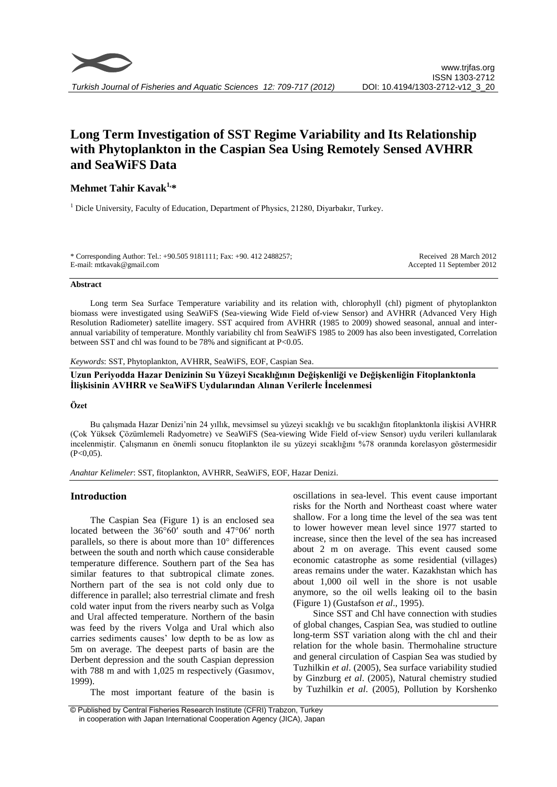# **Long Term Investigation of SST Regime Variability and Its Relationship with Phytoplankton in the Caspian Sea Using Remotely Sensed AVHRR and SeaWiFS Data**

# **Mehmet Tahir Kavak1,\***

<sup>1</sup> Dicle University, Faculty of Education, Department of Physics, 21280, Diyarbakır, Turkey.

\* Corresponding Author: Tel.: +90.505 9181111; Fax: +90. 412 2488257; E-mail: mtkavak@gmail.com

Received 28 March 2012 Accepted 11 September 2012

#### **Abstract**

Long term Sea Surface Temperature variability and its relation with, chlorophyll (chl) pigment of phytoplankton biomass were investigated using SeaWiFS (Sea-viewing Wide Field of-view Sensor) and AVHRR (Advanced Very High Resolution Radiometer) satellite imagery. SST acquired from AVHRR (1985 to 2009) showed seasonal, annual and interannual variability of temperature. Monthly variability chl from SeaWiFS 1985 to 2009 has also been investigated, Correlation between SST and chl was found to be 78% and significant at P<0.05.

*Keywords*: SST, Phytoplankton, AVHRR, SeaWiFS, EOF, Caspian Sea.

**Uzun Periyodda Hazar Denizinin Su Yüzeyi Sıcaklığının Değişkenliği ve Değişkenliğin Fitoplanktonla İlişkisinin AVHRR ve SeaWiFS Uydularından Alınan Verilerle İncelenmesi**

#### **Özet**

Bu çalışmada Hazar Denizi'nin 24 yıllık, mevsimsel su yüzeyi sıcaklığı ve bu sıcaklığın fitoplanktonla ilişkisi AVHRR (Çok Yüksek Çözümlemeli Radyometre) ve SeaWiFS (Sea-viewing Wide Field of-view Sensor) uydu verileri kullanılarak incelenmiştir. Çalışmanın en önemli sonucu fitoplankton ile su yüzeyi sıcaklığını %78 oranında korelasyon göstermesidir  $(P<0.05)$ .

*Anahtar Kelimeler*: SST, fitoplankton, AVHRR, SeaWiFS, EOF, Hazar Denizi.

# **Introduction**

The Caspian Sea (Figure 1) is an enclosed sea located between the 36°60ʹ south and 47°06ʹ north parallels, so there is about more than 10° differences between the south and north which cause considerable temperature difference. Southern part of the Sea has similar features to that subtropical climate zones. Northern part of the sea is not cold only due to difference in parallel; also terrestrial climate and fresh cold water input from the rivers nearby such as Volga and Ural affected temperature. Northern of the basin was feed by the rivers Volga and Ural which also carries sediments causes' low depth to be as low as 5m on average. The deepest parts of basin are the Derbent depression and the south Caspian depression with 788 m and with 1,025 m respectively (Gasımov, 1999).

The most important feature of the basin is

oscillations in sea-level. This event cause important risks for the North and Northeast coast where water shallow. For a long time the level of the sea was tent to lower however mean level since 1977 started to increase, since then the level of the sea has increased about 2 m on average. This event caused some economic catastrophe as some residential (villages) areas remains under the water. Kazakhstan which has about 1,000 oil well in the shore is not usable anymore, so the oil wells leaking oil to the basin (Figure 1) (Gustafson *et al*., 1995).

Since SST and Chl have connection with studies of global changes, Caspian Sea, was studied to outline long-term SST variation along with the chl and their relation for the whole basin. Thermohaline structure and general circulation of Caspian Sea was studied by Tuzhilkin *et al*. (2005), Sea surface variability studied by Ginzburg *et al*. (2005), Natural chemistry studied by Tuzhilkin *et al*. (2005), Pollution by Korshenko

<sup>©</sup> Published by Central Fisheries Research Institute (CFRI) Trabzon, Turkey in cooperation with Japan International Cooperation Agency (JICA), Japan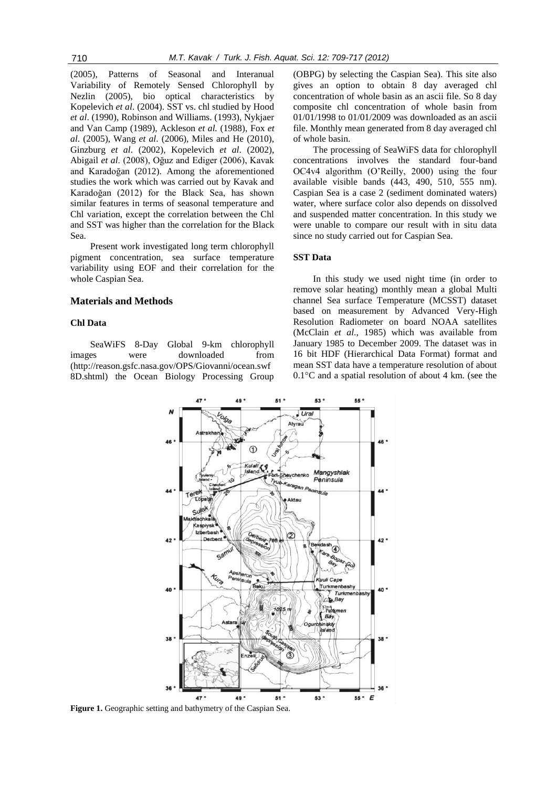(2005), Patterns of Seasonal and Interanual Variability of Remotely Sensed Chlorophyll by Nezlin (2005), bio optical characteristics by Kopelevich *et al*. (2004). SST vs. chl studied by Hood *et al*. (1990), Robinson and Williams. (1993), Nykjaer and Van Camp (1989), Ackleson *et al.* (1988), Fox *et al*. (2005), Wang *et al*. (2006), Miles and He (2010), Ginzburg *et al*. (2002), Kopelevich *et al*. (2002), Abigail *et al*. (2008), Oğuz and Ediger (2006), Kavak and Karadoğan (2012). Among the aforementioned studies the work which was carried out by Kavak and Karadoğan (2012) for the Black Sea, has shown similar features in terms of seasonal temperature and Chl variation, except the correlation between the Chl and SST was higher than the correlation for the Black Sea.

Present work investigated long term chlorophyll pigment concentration, sea surface temperature variability using EOF and their correlation for the whole Caspian Sea.

#### **Materials and Methods**

## **Chl Data**

SeaWiFS 8-Day Global 9-km chlorophyll images were downloaded from (http://reason.gsfc.nasa.gov/OPS/Giovanni/ocean.swf 8D.shtml) the Ocean Biology Processing Group

 $\overline{A}$ 

(OBPG) by selecting the Caspian Sea). This site also gives an option to obtain 8 day averaged chl concentration of whole basin as an ascii file. So 8 day composite chl concentration of whole basin from 01/01/1998 to 01/01/2009 was downloaded as an ascii file. Monthly mean generated from 8 day averaged chl of whole basin.

The processing of SeaWiFS data for chlorophyll concentrations involves the standard four-band OC4v4 algorithm (O'Reilly, 2000) using the four available visible bands (443, 490, 510, 555 nm). Caspian Sea is a case 2 (sediment dominated waters) water, where surface color also depends on dissolved and suspended matter concentration. In this study we were unable to compare our result with in situ data since no study carried out for Caspian Sea.

#### **SST Data**

 $\overline{\mathbf{a}}$ 

ER 1

In this study we used night time (in order to remove solar heating) monthly mean a global Multi channel Sea surface Temperature (MCSST) dataset based on measurement by Advanced Very-High Resolution Radiometer on board NOAA satellites (McClain *et al*., 1985) which was available from January 1985 to December 2009. The dataset was in 16 bit HDF (Hierarchical Data Format) format and mean SST data have a temperature resolution of about 0.1°C and a spatial resolution of about 4 km. (see the



**Figure 1.** Geographic setting and bathymetry of the Caspian Sea.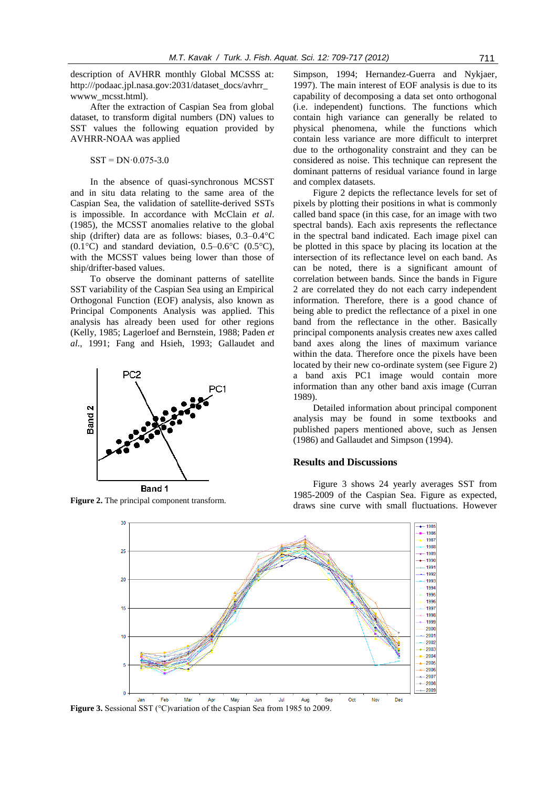description of AVHRR monthly Global MCSSS at: http:///podaac.jpl.nasa.gov:2031/dataset\_docs/avhrr\_ wwww\_mcsst.html).

After the extraction of Caspian Sea from global dataset, to transform digital numbers (DN) values to SST values the following equation provided by AVHRR-NOAA was applied

 $SST = DN \cdot 0.075 - 3.0$ 

In the absence of quasi-synchronous MCSST and in situ data relating to the same area of the Caspian Sea, the validation of satellite-derived SSTs is impossible. In accordance with McClain *et al*. (1985), the MCSST anomalies relative to the global ship (drifter) data are as follows: biases, 0.3–0.4°C  $(0.1\textdegree C)$  and standard deviation,  $0.5\textdegree-0.6\textdegree C$   $(0.5\textdegree C)$ , with the MCSST values being lower than those of ship/drifter-based values.

To observe the dominant patterns of satellite SST variability of the Caspian Sea using an Empirical Orthogonal Function (EOF) analysis, also known as Principal Components Analysis was applied. This analysis has already been used for other regions (Kelly, 1985; Lagerloef and Bernstein, 1988; Paden *et al*., 1991; Fang and Hsieh, 1993; Gallaudet and



Simpson, 1994; Hernandez-Guerra and Nykjaer, 1997). The main interest of EOF analysis is due to its capability of decomposing a data set onto orthogonal (i.e. independent) functions. The functions which contain high variance can generally be related to physical phenomena, while the functions which contain less variance are more difficult to interpret due to the orthogonality constraint and they can be considered as noise. This technique can represent the dominant patterns of residual variance found in large and complex datasets.

Figure 2 depicts the reflectance levels for set of pixels by plotting their positions in what is commonly called band space (in this case, for an image with two spectral bands). Each axis represents the reflectance in the spectral band indicated. Each image pixel can be plotted in this space by placing its location at the intersection of its reflectance level on each band. As can be noted, there is a significant amount of correlation between bands. Since the bands in Figure 2 are correlated they do not each carry independent information. Therefore, there is a good chance of being able to predict the reflectance of a pixel in one band from the reflectance in the other. Basically principal components analysis creates new axes called band axes along the lines of maximum variance within the data. Therefore once the pixels have been located by their new co-ordinate system (see Figure 2) a band axis PC1 image would contain more information than any other band axis image (Curran 1989).

Detailed information about principal component analysis may be found in some textbooks and published papers mentioned above, such as Jensen (1986) and Gallaudet and Simpson (1994).

#### **Results and Discussions**

Figure 3 shows 24 yearly averages SST from 1985-2009 of the Caspian Sea. Figure as expected, Figure 2. The principal component transform.<br>draws sine curve with small fluctuations. However



**Figure 3.** Sessional SST (°C)variation of the Caspian Sea from 1985 to 2009.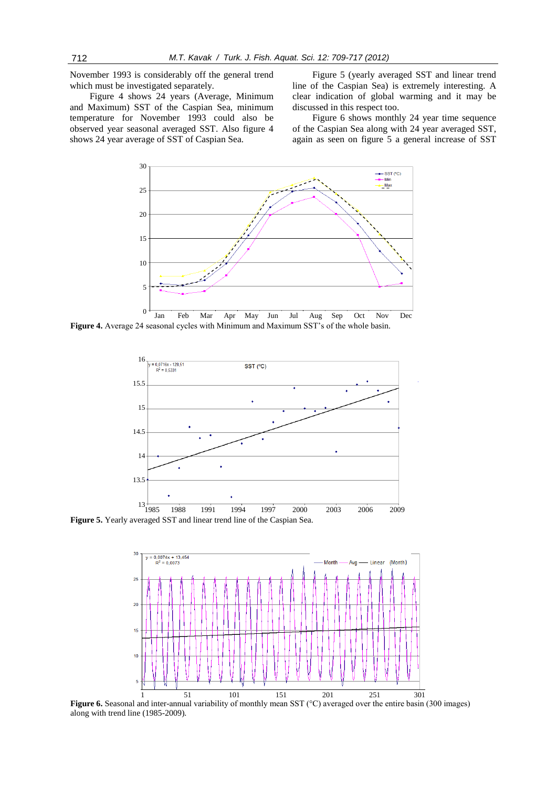November 1993 is considerably off the general trend which must be investigated separately.

Figure 4 shows 24 years (Average, Minimum and Maximum) SST of the Caspian Sea, minimum temperature for November 1993 could also be observed year seasonal averaged SST. Also figure 4 shows 24 year average of SST of Caspian Sea.

Figure 5 (yearly averaged SST and linear trend line of the Caspian Sea) is extremely interesting. A clear indication of global warming and it may be discussed in this respect too.

Figure 6 shows monthly 24 year time sequence of the Caspian Sea along with 24 year averaged SST, again as seen on figure 5 a general increase of SST



**Figure 4.** Average 24 seasonal cycles with Minimum and Maximum SST's of the whole basin.



**Figure 5.** Yearly averaged SST and linear trend line of the Caspian Sea.



**Figure 6.** Seasonal and inter-annual variability of monthly mean SST (°C) averaged over the entire basin (300 images) along with trend line (1985-2009). nd ir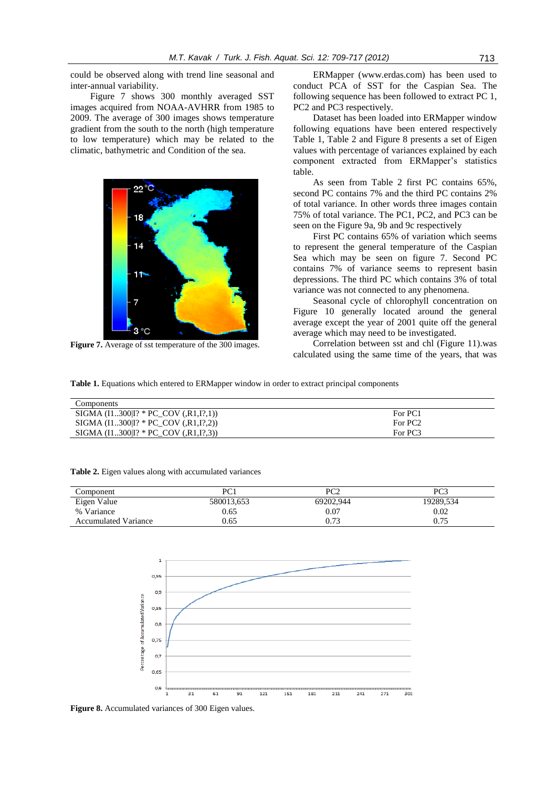could be observed along with trend line seasonal and inter-annual variability.

Figure 7 shows 300 monthly averaged SST images acquired from NOAA-AVHRR from 1985 to 2009. The average of 300 images shows temperature gradient from the south to the north (high temperature to low temperature) which may be related to the climatic, bathymetric and Condition of the sea.



**Figure 7.** Average of sst temperature of the 300 images.

**Table 2.** Eigen values along with accumulated variances

ERMapper (www.erdas.com) has been used to conduct PCA of SST for the Caspian Sea. The following sequence has been followed to extract PC 1, PC2 and PC3 respectively.

Dataset has been loaded into ERMapper window following equations have been entered respectively Table 1, Table 2 and Figure 8 presents a set of Eigen values with percentage of variances explained by each component extracted from ERMapper's statistics table.

As seen from Table 2 first PC contains 65%, second PC contains 7% and the third PC contains 2% of total variance. In other words three images contain 75% of total variance. The PC1, PC2, and PC3 can be seen on the Figure 9a, 9b and 9c respectively

First PC contains 65% of variation which seems to represent the general temperature of the Caspian Sea which may be seen on figure 7. Second PC contains 7% of variance seems to represent basin depressions. The third PC which contains 3% of total variance was not connected to any phenomena.

Seasonal cycle of chlorophyll concentration on Figure 10 generally located around the general average except the year of 2001 quite off the general average which may need to be investigated.

Correlation between sst and chl (Figure 11).was calculated using the same time of the years, that was

**Table 1.** Equations which entered to ERMapper window in order to extract principal components

| Components                                       |                     |
|--------------------------------------------------|---------------------|
| SIGMA $(11300 1? * PC COV (R1,I?,1))$            | For PC1             |
| SIGMA $(I1300]$ <sup>?</sup> * PC_COV $(R1,I?2)$ | For PC <sub>2</sub> |
| SIGMA $(11300 1? * PC COV (.R1,I?,3))$           | For PC3             |

| Component                   | PC1        | PC2       | PC3       |
|-----------------------------|------------|-----------|-----------|
| Eigen Value                 | 580013.653 | 69202.944 | 19289.534 |
| % Variance                  | 0.65       | 0.07      | 0.02      |
| <b>Accumulated Variance</b> | 0.65       | 0.73      | 0.75      |





**Figure 8.** Accumulated variances of 300 Eigen values.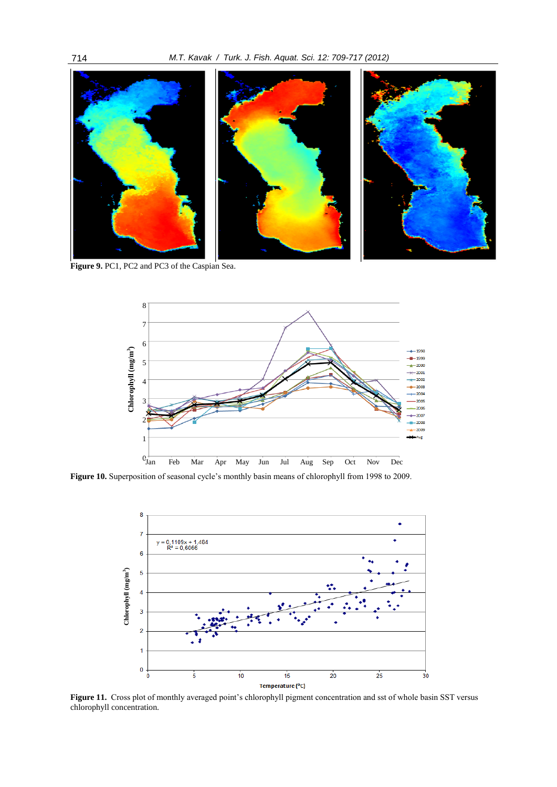

**Figure 9.** PC1, PC2 and PC3 of the Caspian Sea.



Figure 10. Superposition of seasonal cycle's monthly basin means of chlorophyll from 1998 to 2009.



**Figure 11.** Cross plot of monthly averaged point's chlorophyll pigment concentration and sst of whole basin SST versus chlorophyll concentration.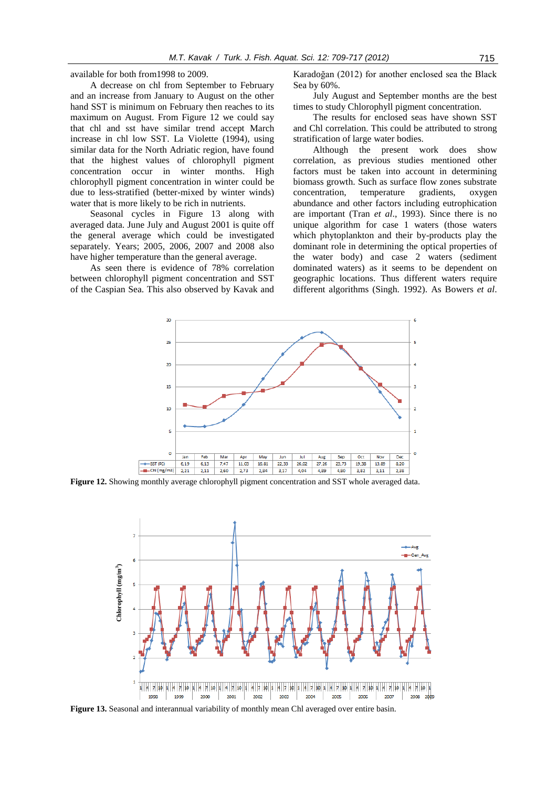available for both from1998 to 2009.

A decrease on chl from September to February and an increase from January to August on the other hand SST is minimum on February then reaches to its maximum on August. From Figure 12 we could say that chl and sst have similar trend accept March increase in chl low SST. La Violette (1994), using similar data for the North Adriatic region, have found that the highest values of chlorophyll pigment concentration occur in winter months. High chlorophyll pigment concentration in winter could be due to less-stratified (better-mixed by winter winds) water that is more likely to be rich in nutrients.

Seasonal cycles in Figure 13 along with averaged data. June July and August 2001 is quite off the general average which could be investigated separately. Years; 2005, 2006, 2007 and 2008 also have higher temperature than the general average.

As seen there is evidence of 78% correlation between chlorophyll pigment concentration and SST of the Caspian Sea. This also observed by Kavak and

Karadoğan (2012) for another enclosed sea the Black Sea by 60%.

July August and September months are the best times to study Chlorophyll pigment concentration.

The results for enclosed seas have shown SST and Chl correlation. This could be attributed to strong stratification of large water bodies.

Although the present work does show correlation, as previous studies mentioned other factors must be taken into account in determining biomass growth. Such as surface flow zones substrate concentration, temperature gradients, oxygen abundance and other factors including eutrophication are important (Tran *et al*., 1993). Since there is no unique algorithm for case 1 waters (those waters which phytoplankton and their by-products play the dominant role in determining the optical properties of the water body) and case 2 waters (sediment dominated waters) as it seems to be dependent on geographic locations. Thus different waters require different algorithms (Singh. 1992). As Bowers *et al*.



**Figure 12.** Showing monthly average chlorophyll pigment concentration and SST whole averaged data.

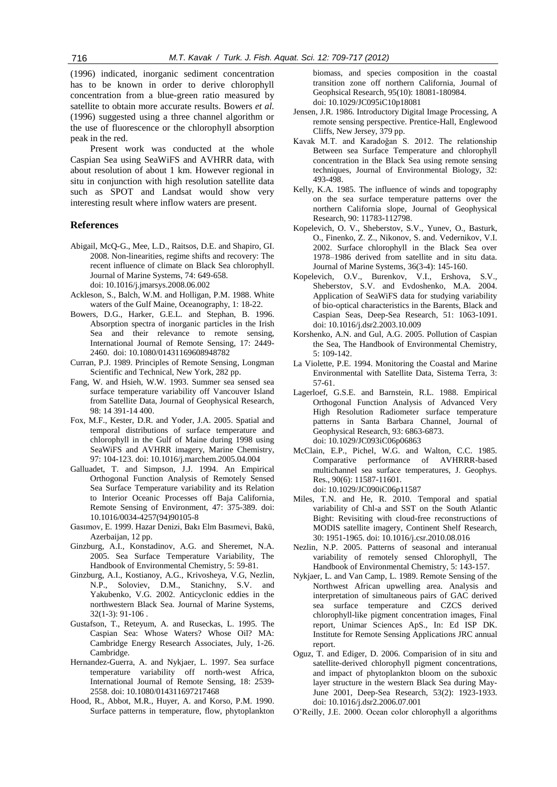(1996) indicated, inorganic sediment concentration has to be known in order to derive chlorophyll concentration from a blue-green ratio measured by satellite to obtain more accurate results. Bowers *et al.* (1996) suggested using a three channel algorithm or the use of fluorescence or the chlorophyll absorption peak in the red.

Present work was conducted at the whole Caspian Sea using SeaWiFS and AVHRR data, with about resolution of about 1 km. However regional in situ in conjunction with high resolution satellite data such as SPOT and Landsat would show very interesting result where inflow waters are present.

### **References**

- Abigail, McQ-G., Mee, L.D., Raitsos, D.E. and Shapiro, GI. 2008. Non-linearities, regime shifts and recovery: The recent influence of climate on Black Sea chlorophyll*.*  Journal of Marine Systems, 74: 649-658. doi: 10.1016/j.jmarsys.2008.06.002
- Ackleson, S., Balch, W.M. and Holligan, P.M. 1988. White waters of the Gulf Maine, Oceanography, 1: 18-22.
- Bowers, D.G., Harker, G.E.L. and Stephan, B. 1996. Absorption spectra of inorganic particles in the Irish Sea and their relevance to remote sensing, International Journal of Remote Sensing, 17: 2449- 2460. doi: 10.1080/01431169608948782
- Curran, P.J. 1989. Principles of Remote Sensing*,* Longman Scientific and Technical, New York, 282 pp.
- Fang, W. and Hsieh, W.W. 1993. Summer sea sensed sea surface temperature variability off Vancouver Island from Satellite Data, Journal of Geophysical Research, 98: 14 391-14 400.
- Fox, M.F., Kester, D.R. and Yoder, J.A. 2005. Spatial and temporal distributions of surface temperature and chlorophyll in the Gulf of Maine during 1998 using SeaWiFS and AVHRR imagery, Marine Chemistry, 97: 104-123. doi: 10.1016/j.marchem.2005.04.004
- Galluadet, T. and Simpson, J.J. 1994. An Empirical Orthogonal Function Analysis of Remotely Sensed Sea Surface Temperature variability and its Relation to Interior Oceanic Processes off Baja California*,*  Remote Sensing of Environment, 47: 375-389. doi: 10.1016/0034-4257(94)90105-8
- Gasımov, E. 1999. Hazar Denizi, Bakı Elm Basımevi, Bakü, Azerbaijan, 12 pp.
- Ginzburg, A.I., Konstadinov, A.G. and Sheremet, N.A. 2005. Sea Surface Temperature Variability, The Handbook of Environmental Chemistry, 5: 59-81.
- Ginzburg, A.I., Kostianoy, A.G., Krivosheya, V.G, Nezlin, N.P., Soloviev, D.M., Stanichny, S.V. and Yakubenko, V.G. 2002. Anticyclonic eddies in the northwestern Black Sea. Journal of Marine Systems, 32(1-3): 91-106 .
- Gustafson, T., Reteyum, A. and Ruseckas, L. 1995. The Caspian Sea: Whose Waters? Whose Oil? MA: Cambridge Energy Research Associates, July, 1-26. Cambridge.
- Hernandez-Guerra, A. and Nykjaer, L. 1997. Sea surface temperature variability off north-west Africa, International Journal of Remote Sensing, 18: 2539- 2558. doi: 10.1080/014311697217468
- Hood, R., Abbot, M.R., Huyer, A. and Korso, P.M. 1990. Surface patterns in temperature, flow, phytoplankton

biomass, and species composition in the coastal transition zone off northern California, Journal of Geophsical Research, 95(10): 18081-180984. doi: 10.1029/JC095iC10p18081

- Jensen, J.R. 1986. Introductory Digital Image Processing*,* A remote sensing perspective. Prentice-Hall, Englewood Cliffs, New Jersey, 379 pp.
- Kavak M.T. and Karadoğan S. 2012. The relationship Between sea Surface Temperature and chlorophyll concentration in the Black Sea using remote sensing techniques, Journal of Environmental Biology, 32: 493-498.
- Kelly, K.A. 1985. The influence of winds and topography on the sea surface temperature patterns over the northern California slope*,* Journal of Geophysical Research, 90: 11783-112798.
- Kopelevich, O. V., Sheberstov, S.V., Yunev, O., Basturk, O., Finenko, Z. Z., Nikonov, S. and. Vedernikov, V.I. 2002. Surface chlorophyll in the Black Sea over 1978–1986 derived from satellite and in situ data. [Journal of Marine Systems,](http://www.sciencedirect.com/science/journal/09247963) [36\(3-4\)](http://www.sciencedirect.com/science?_ob=PublicationURL&_tockey=%23TOC%236001%232002%23999639996%23348384%23FLA%23&_cdi=6001&_pubType=J&view=c&_auth=y&_acct=C000050221&_version=1&_urlVersion=0&_userid=10&md5=f42a5a3ee5835cfde79410286ce1c061): 145-160.
- Kopelevich, O.V., Burenkov, V.I., Ershova, S.V. Sheberstov, S.V. and Evdoshenko, M.A. 2004. Application of SeaWiFS data for studying variability of bio-optical characteristics in the Barents, Black and Caspian Seas, Deep-Sea Research, 51: 1063-1091. doi: 10.1016/j.dsr2.2003.10.009
- Korshenko, A.N. and Gul, A.G. 2005. Pollution of Caspian the Sea, The Handbook of Environmental Chemistry, 5: 109-142.
- La Violette, P.E. 1994. Monitoring the Coastal and Marine Environmental with Satellite Data, Sistema Terra, 3: 57-61.
- Lagerloef, G.S.E. and Barnstein, R.L. 1988. Empirical Orthogonal Function Analysis of Advanced Very High Resolution Radiometer surface temperature patterns in Santa Barbara Channel, Journal of Geophysical Research, 93: 6863-6873. doi: 10.1029/JC093iC06p06863
- McClain, E.P., Pichel, W.G. and Walton, C.C. 1985. Comparative performance of AVHRRR-based multichannel sea surface temperatures, J. Geophys. Res., 90(6): 11587-11601. doi: 10.1029/JC090iC06p11587
- Miles, T.N. and He, R. 2010. Temporal and spatial variability of Chl-a and SST on the South Atlantic Bight: Revisiting with cloud-free reconstructions of MODIS satellite imagery, Continent Shelf Research, 30: 1951-1965. doi: 10.1016/j.csr.2010.08.016
- Nezlin, N.P. 2005. Patterns of seasonal and interanual variability of remotely sensed Chlorophyll, The Handbook of Environmental Chemistry, 5: 143-157.
- Nykjaer, L. and Van Camp, L. 1989. Remote Sensing of the Northwest African upwelling area. Analysis and interpretation of simultaneous pairs of GAC derived sea surface temperature and CZCS derived chlorophyll-like pigment concentration images, Final report, Unimar Sciences ApS., In: Ed ISP DK. Institute for Remote Sensing Applications JRC annual report.
- Oguz, T. and Ediger, D. 2006. Comparision of in situ and satellite-derived chlorophyll pigment concentrations, and impact of phytoplankton bloom on the suboxic layer structure in the western Black Sea during May-June 2001, Deep-Sea Research, 53(2): 1923-1933. doi: 10.1016/j.dsr2.2006.07.001
- O'Reilly, J.E. 2000. Ocean color chlorophyll a algorithms